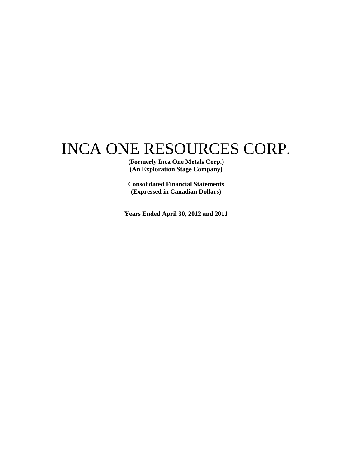# INCA ONE RESOURCES CORP.

**(Formerly Inca One Metals Corp.) (An Exploration Stage Company)** 

**Consolidated Financial Statements (Expressed in Canadian Dollars)** 

**Years Ended April 30, 2012 and 2011**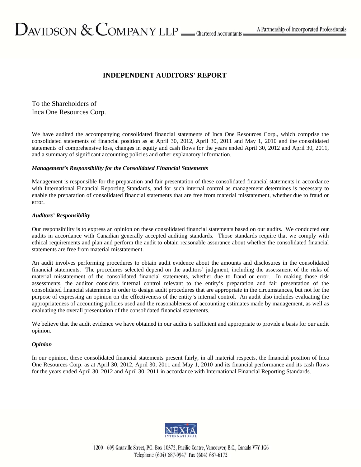### **INDEPENDENT AUDITORS' REPORT**

To the Shareholders of Inca One Resources Corp.

We have audited the accompanying consolidated financial statements of Inca One Resources Corp., which comprise the consolidated statements of financial position as at April 30, 2012, April 30, 2011 and May 1, 2010 and the consolidated statements of comprehensive loss, changes in equity and cash flows for the years ended April 30, 2012 and April 30, 2011, and a summary of significant accounting policies and other explanatory information.

### *Management's Responsibility for the Consolidated Financial Statements*

Management is responsible for the preparation and fair presentation of these consolidated financial statements in accordance with International Financial Reporting Standards, and for such internal control as management determines is necessary to enable the preparation of consolidated financial statements that are free from material misstatement, whether due to fraud or error.

### *Auditors' Responsibility*

Our responsibility is to express an opinion on these consolidated financial statements based on our audits. We conducted our audits in accordance with Canadian generally accepted auditing standards. Those standards require that we comply with ethical requirements and plan and perform the audit to obtain reasonable assurance about whether the consolidated financial statements are free from material misstatement.

An audit involves performing procedures to obtain audit evidence about the amounts and disclosures in the consolidated financial statements. The procedures selected depend on the auditors' judgment, including the assessment of the risks of material misstatement of the consolidated financial statements, whether due to fraud or error. In making those risk assessments, the auditor considers internal control relevant to the entity's preparation and fair presentation of the consolidated financial statements in order to design audit procedures that are appropriate in the circumstances, but not for the purpose of expressing an opinion on the effectiveness of the entity's internal control. An audit also includes evaluating the appropriateness of accounting policies used and the reasonableness of accounting estimates made by management, as well as evaluating the overall presentation of the consolidated financial statements.

We believe that the audit evidence we have obtained in our audits is sufficient and appropriate to provide a basis for our audit opinion.

#### *Opinion*

In our opinion, these consolidated financial statements present fairly, in all material respects, the financial position of Inca One Resources Corp. as at April 30, 2012, April 30, 2011 and May 1, 2010 and its financial performance and its cash flows for the years ended April 30, 2012 and April 30, 2011 in accordance with International Financial Reporting Standards.

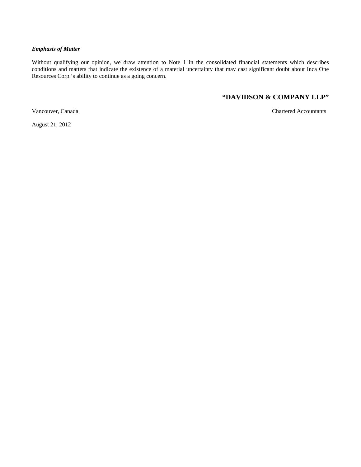### *Emphasis of Matter*

Without qualifying our opinion, we draw attention to Note 1 in the consolidated financial statements which describes conditions and matters that indicate the existence of a material uncertainty that may cast significant doubt about Inca One Resources Corp.'s ability to continue as a going concern.

### **"DAVIDSON & COMPANY LLP"**

Vancouver, Canada Chartered Accountants

August 21, 2012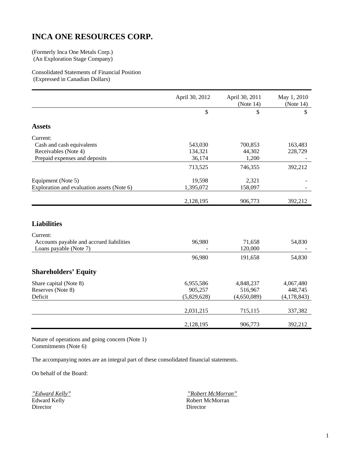### **INCA ONE RESOURCES CORP.**

(Formerly Inca One Metals Corp.) (An Exploration Stage Company)

Consolidated Statements of Financial Position (Expressed in Canadian Dollars)

|                                            | April 30, 2012 | April 30, 2011<br>(Note 14) | May 1, 2010<br>(Note $14$ ) |
|--------------------------------------------|----------------|-----------------------------|-----------------------------|
|                                            | \$             | \$                          | \$                          |
| <b>Assets</b>                              |                |                             |                             |
| Current:                                   |                |                             |                             |
| Cash and cash equivalents                  | 543,030        | 700,853                     | 163,483                     |
| Receivables (Note 4)                       | 134,321        | 44,302                      | 228,729                     |
| Prepaid expenses and deposits              | 36,174         | 1,200                       |                             |
|                                            | 713,525        | 746,355                     | 392,212                     |
| Equipment (Note 5)                         | 19,598         | 2,321                       |                             |
| Exploration and evaluation assets (Note 6) | 1,395,072      | 158,097                     |                             |
|                                            | 2,128,195      | 906,773                     | 392,212                     |
|                                            |                |                             |                             |
| <b>Liabilities</b>                         |                |                             |                             |
| Current:                                   |                |                             |                             |
| Accounts payable and accrued liabilities   | 96,980         | 71,658                      | 54,830                      |
| Loans payable (Note 7)                     |                | 120,000                     |                             |
|                                            | 96,980         | 191,658                     | 54,830                      |
| <b>Shareholders' Equity</b>                |                |                             |                             |
| Share capital (Note 8)                     | 6,955,586      | 4,848,237                   | 4,067,480                   |
| Reserves (Note 8)                          | 905,257        | 516,967                     | 448,745                     |
| Deficit                                    | (5,829,628)    | (4,650,089)                 | (4, 178, 843)               |
|                                            | 2,031,215      | 715,115                     | 337,382                     |
|                                            | 2,128,195      | 906,773                     | 392,212                     |

Nature of operations and going concern (Note 1) Commitments (Note 6)

The accompanying notes are an integral part of these consolidated financial statements.

On behalf of the Board:

Director

*"Edward Kelly" "Robert McMorran"* Robert McMorran<br>Director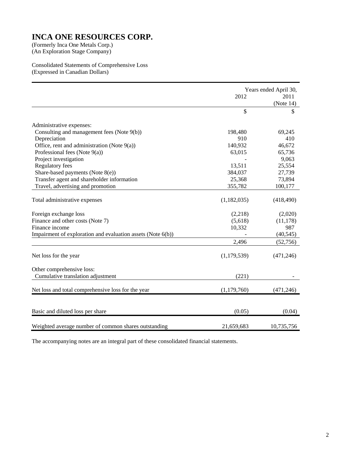(An Exploration Stage Company)

Consolidated Statements of Comprehensive Loss (Expressed in Canadian Dollars)

|                                                             | 2012        | Years ended April 30,<br>2011<br>(Note $14$ ) |
|-------------------------------------------------------------|-------------|-----------------------------------------------|
|                                                             | \$          | \$                                            |
| Administrative expenses:                                    |             |                                               |
| Consulting and management fees (Note 9(b))                  | 198,480     | 69,245                                        |
| Depreciation                                                | 910         | 410                                           |
| Office, rent and administration (Note 9(a))                 | 140,932     | 46,672                                        |
| Professional fees (Note 9(a))                               | 63,015      | 65,736                                        |
| Project investigation                                       |             | 9,063                                         |
| <b>Regulatory fees</b>                                      | 13,511      | 25,554                                        |
| Share-based payments (Note $8(e)$ )                         | 384,037     | 27,739                                        |
| Transfer agent and shareholder information                  | 25,368      | 73,894                                        |
| Travel, advertising and promotion                           | 355,782     | 100,177                                       |
|                                                             |             |                                               |
| Total administrative expenses                               | (1,182,035) | (418, 490)                                    |
| Foreign exchange loss                                       | (2,218)     | (2,020)                                       |
| Finance and other costs (Note 7)                            | (5,618)     | (11, 178)                                     |
| Finance income                                              | 10,332      | 987                                           |
| Impairment of exploration and evaluation assets (Note 6(b)) |             | (40, 545)                                     |
|                                                             | 2,496       | (52,756)                                      |
| Net loss for the year                                       | (1,179,539) | (471, 246)                                    |
| Other comprehensive loss:                                   |             |                                               |
| Cumulative translation adjustment                           | (221)       |                                               |
| Net loss and total comprehensive loss for the year          | (1,179,760) | (471, 246)                                    |
|                                                             |             |                                               |
| Basic and diluted loss per share                            | (0.05)      | (0.04)                                        |
| Weighted average number of common shares outstanding        | 21,659,683  | 10,735,756                                    |

The accompanying notes are an integral part of these consolidated financial statements.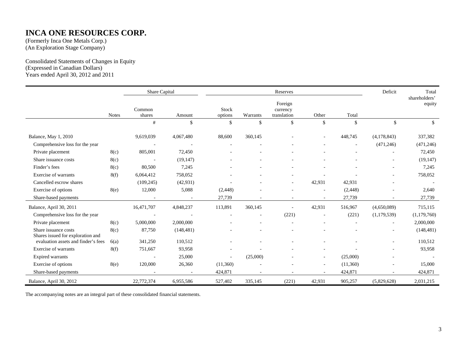### **INCA ONE RESOURCES CORP.**

(Formerly Inca One Metals Corp.) (An Exploration Stage Company)

Consolidated Statements of Changes in Equity (Expressed in Canadian Dollars) Years ended April 30, 2012 and 2011

|                                                           |              | Share Capital            |            |                          |                          | Reserves                           |                          |          | Deficit                  | Total                    |
|-----------------------------------------------------------|--------------|--------------------------|------------|--------------------------|--------------------------|------------------------------------|--------------------------|----------|--------------------------|--------------------------|
|                                                           | <b>Notes</b> | Common<br>shares         | Amount     | Stock<br>options         | Warrants                 | Foreign<br>currency<br>translation | Other                    | Total    |                          | shareholders'<br>equity  |
|                                                           |              | $\#$                     | \$         | \$                       | \$                       | \$                                 | \$                       | \$       | \$                       | \$                       |
| Balance, May 1, 2010                                      |              | 9,619,039                | 4,067,480  | 88,600                   | 360,145                  |                                    |                          | 448,745  | (4,178,843)              | 337,382                  |
| Comprehensive loss for the year                           |              |                          |            |                          |                          |                                    |                          |          | (471, 246)               | (471, 246)               |
| Private placement                                         | 8(c)         | 805,001                  | 72,450     |                          |                          |                                    |                          |          |                          | 72,450                   |
| Share issuance costs                                      | 8(c)         | $\overline{\phantom{a}}$ | (19, 147)  |                          |                          |                                    |                          |          | $\overline{a}$           | (19, 147)                |
| Finder's fees                                             | 8(c)         | 80,500                   | 7,245      |                          |                          |                                    |                          |          | ٠                        | 7,245                    |
| Exercise of warrants                                      | 8(f)         | 6,064,412                | 758,052    |                          |                          |                                    |                          |          | $\sim$                   | 758,052                  |
| Cancelled escrow shares                                   |              | (109, 245)               | (42, 931)  |                          |                          | $\overline{\phantom{a}}$           | 42,931                   | 42,931   |                          | $\overline{\phantom{a}}$ |
| Exercise of options                                       | 8(e)         | 12,000                   | 5,088      | (2, 448)                 |                          |                                    |                          | (2, 448) |                          | 2,640                    |
| Share-based payments                                      |              |                          |            | 27,739                   |                          |                                    |                          | 27,739   |                          | 27,739                   |
| Balance, April 30, 2011                                   |              | 16,471,707               | 4,848,237  | 113,891                  | 360,145                  | $\overline{\phantom{a}}$           | 42,931                   | 516,967  | (4,650,089)              | 715,115                  |
| Comprehensive loss for the year                           |              |                          |            | $\overline{\phantom{a}}$ | $\overline{\phantom{a}}$ | (221)                              | $\overline{\phantom{a}}$ | (221)    | (1,179,539)              | (1,179,760)              |
| Private placement                                         | 8(c)         | 5,000,000                | 2,000,000  |                          |                          |                                    |                          |          | $\overline{\phantom{a}}$ | 2,000,000                |
| Share issuance costs<br>Shares issued for exploration and | 8(c)         | 87,750                   | (148, 481) |                          |                          |                                    |                          |          | $\overline{a}$           | (148, 481)               |
| evaluation assets and finder's fees                       | 6(a)         | 341,250                  | 110,512    |                          |                          |                                    |                          |          | $\overline{a}$           | 110,512                  |
| Exercise of warrants                                      | 8(f)         | 751,667                  | 93,958     |                          |                          |                                    |                          |          |                          | 93,958                   |
| <b>Expired warrants</b>                                   |              | $\sim$                   | 25,000     | $\sim$                   | (25,000)                 |                                    | $\sim$                   | (25,000) | $\sim$                   | $\sim$                   |
| Exercise of options                                       | 8(e)         | 120,000                  | 26,360     | (11,360)                 |                          |                                    | $\overline{\phantom{a}}$ | (11,360) |                          | 15,000                   |
| Share-based payments                                      |              | $\overline{\phantom{a}}$ |            | 424,871                  |                          |                                    |                          | 424,871  |                          | 424,871                  |
| Balance, April 30, 2012                                   |              | 22,772,374               | 6,955,586  | 527,402                  | 335,145                  | (221)                              | 42,931                   | 905,257  | (5,829,628)              | 2,031,215                |

The accompanying notes are an integral part of these consolidated financial statements.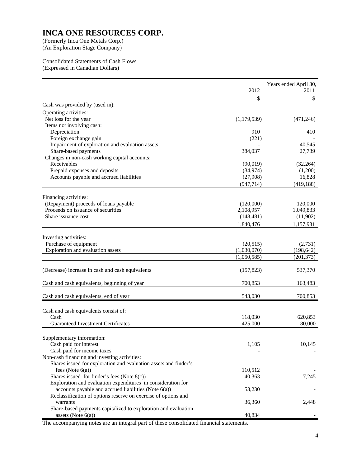### **INCA ONE RESOURCES CORP.**

(Formerly Inca One Metals Corp.)<br>(An Exploration Stage Company)

Consolidated Statements of Cash Flows (Expressed in Canadian Dollars)

|                                                                             |                         | Years ended April 30, |
|-----------------------------------------------------------------------------|-------------------------|-----------------------|
|                                                                             | 2012                    | 2011                  |
|                                                                             | \$                      | \$                    |
| Cash was provided by (used in):                                             |                         |                       |
| Operating activities:                                                       |                         |                       |
| Net loss for the year                                                       | (1,179,539)             | (471, 246)            |
| Items not involving cash:                                                   |                         |                       |
| Depreciation                                                                | 910                     | 410                   |
| Foreign exchange gain                                                       | (221)                   |                       |
| Impairment of exploration and evaluation assets                             |                         | 40,545                |
| Share-based payments                                                        | 384,037                 | 27,739                |
| Changes in non-cash working capital accounts:                               |                         |                       |
| Receivables                                                                 | (90,019)                | (32, 264)             |
| Prepaid expenses and deposits                                               | (34, 974)               | (1,200)               |
| Accounts payable and accrued liabilities                                    | (27,908)                | 16,828                |
|                                                                             | (947, 714)              | (419, 188)            |
|                                                                             |                         |                       |
| Financing activities:                                                       |                         |                       |
| (Repayment) proceeds of loans payable<br>Proceeds on issuance of securities | (120,000)               | 120,000               |
| Share issuance cost                                                         | 2,108,957<br>(148, 481) | 1,049,833<br>(11,902) |
|                                                                             |                         |                       |
|                                                                             | 1,840,476               | 1,157,931             |
| Investing activities:                                                       |                         |                       |
| Purchase of equipment                                                       | (20,515)                | (2,731)               |
| Exploration and evaluation assets                                           | (1,030,070)             | (198, 642)            |
|                                                                             | (1,050,585)             | (201, 373)            |
|                                                                             |                         |                       |
| (Decrease) increase in cash and cash equivalents                            | (157, 823)              | 537,370               |
|                                                                             |                         |                       |
| Cash and cash equivalents, beginning of year                                | 700,853                 | 163,483               |
|                                                                             |                         |                       |
| Cash and cash equivalents, end of year                                      | 543,030                 | 700,853               |
|                                                                             |                         |                       |
| Cash and cash equivalents consist of:                                       |                         |                       |
| Cash                                                                        | 118,030                 | 620,853               |
| <b>Guaranteed Investment Certificates</b>                                   | 425,000                 | 80,000                |
|                                                                             |                         |                       |
| Supplementary information:                                                  |                         |                       |
| Cash paid for interest                                                      | 1,105                   | 10,145                |
| Cash paid for income taxes                                                  |                         |                       |
| Non-cash financing and investing activities:                                |                         |                       |
| Shares issued for exploration and evaluation assets and finder's            |                         |                       |
| fees (Note $6(a)$ )<br>Shares issued for finder's fees (Note $8(c)$ )       | 110,512<br>40,363       | 7,245                 |
| Exploration and evaluation expenditures in consideration for                |                         |                       |
| accounts payable and accrued liabilities (Note $6(a)$ )                     | 53,230                  |                       |
| Reclassification of options reserve on exercise of options and              |                         |                       |
| warrants                                                                    | 36,360                  | 2,448                 |
| Share-based payments capitalized to exploration and evaluation              |                         |                       |
| assets (Note $6(a)$ )                                                       | 40,834                  |                       |

The accompanying notes are an integral part of these consolidated financial statements.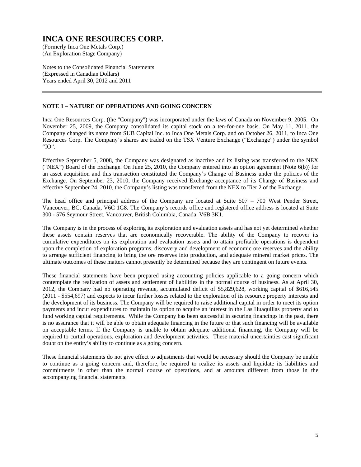(An Exploration Stage Company)

Notes to the Consolidated Financial Statements (Expressed in Canadian Dollars) Years ended April 30, 2012 and 2011

### **NOTE 1 – NATURE OF OPERATIONS AND GOING CONCERN**

Inca One Resources Corp. (the "Company") was incorporated under the laws of Canada on November 9, 2005. On November 25, 2009, the Company consolidated its capital stock on a ten-for-one basis. On May 11, 2011, the Company changed its name from SUB Capital Inc. to Inca One Metals Corp. and on October 26, 2011, to Inca One Resources Corp. The Company's shares are traded on the TSX Venture Exchange ("Exchange") under the symbol "IO".

Effective September 5, 2008, the Company was designated as inactive and its listing was transferred to the NEX ("NEX") Board of the Exchange. On June 25, 2010, the Company entered into an option agreement (Note 6(b)) for an asset acquisition and this transaction constituted the Company's Change of Business under the policies of the Exchange. On September 23, 2010, the Company received Exchange acceptance of its Change of Business and effective September 24, 2010, the Company's listing was transferred from the NEX to Tier 2 of the Exchange.

The head office and principal address of the Company are located at Suite 507 – 700 West Pender Street, Vancouver, BC, Canada, V6C 1G8. The Company's records office and registered office address is located at Suite 300 - 576 Seymour Street, Vancouver, British Columbia, Canada, V6B 3K1.

The Company is in the process of exploring its exploration and evaluation assets and has not yet determined whether these assets contain reserves that are economically recoverable. The ability of the Company to recover its cumulative expenditures on its exploration and evaluation assets and to attain profitable operations is dependent upon the completion of exploration programs, discovery and development of economic ore reserves and the ability to arrange sufficient financing to bring the ore reserves into production, and adequate mineral market prices. The ultimate outcomes of these matters cannot presently be determined because they are contingent on future events.

These financial statements have been prepared using accounting policies applicable to a going concern which contemplate the realization of assets and settlement of liabilities in the normal course of business. As at April 30, 2012, the Company had no operating revenue, accumulated deficit of \$5,829,628, working capital of \$616,545 (2011 - \$554,697) and expects to incur further losses related to the exploration of its resource property interests and the development of its business. The Company will be required to raise additional capital in order to meet its option payments and incur expenditures to maintain its option to acquire an interest in the Las Huaquillas property and to fund working capital requirements. While the Company has been successful in securing financings in the past, there is no assurance that it will be able to obtain adequate financing in the future or that such financing will be available on acceptable terms. If the Company is unable to obtain adequate additional financing, the Company will be required to curtail operations, exploration and development activities. These material uncertainties cast significant doubt on the entity's ability to continue as a going concern.

These financial statements do not give effect to adjustments that would be necessary should the Company be unable to continue as a going concern and, therefore, be required to realize its assets and liquidate its liabilities and commitments in other than the normal course of operations, and at amounts different from those in the accompanying financial statements.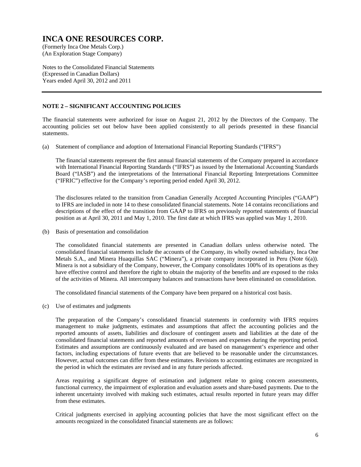(An Exploration Stage Company)

Notes to the Consolidated Financial Statements (Expressed in Canadian Dollars) Years ended April 30, 2012 and 2011

### **NOTE 2 – SIGNIFICANT ACCOUNTING POLICIES**

The financial statements were authorized for issue on August 21, 2012 by the Directors of the Company. The accounting policies set out below have been applied consistently to all periods presented in these financial statements.

(a) Statement of compliance and adoption of International Financial Reporting Standards ("IFRS")

The financial statements represent the first annual financial statements of the Company prepared in accordance with International Financial Reporting Standards ("IFRS") as issued by the International Accounting Standards Board ("IASB") and the interpretations of the International Financial Reporting Interpretations Committee ("IFRIC") effective for the Company's reporting period ended April 30, 2012.

 The disclosures related to the transition from Canadian Generally Accepted Accounting Principles ("GAAP") to IFRS are included in note 14 to these consolidated financial statements. Note 14 contains reconciliations and descriptions of the effect of the transition from GAAP to IFRS on previously reported statements of financial position as at April 30, 2011 and May 1, 2010. The first date at which IFRS was applied was May 1, 2010.

(b) Basis of presentation and consolidation

 The consolidated financial statements are presented in Canadian dollars unless otherwise noted. The consolidated financial statements include the accounts of the Company, its wholly owned subsidiary, Inca One Metals S.A., and Minera Huaquillas SAC ("Minera"), a private company incorporated in Peru (Note 6(a)). Minera is not a subsidiary of the Company, however, the Company consolidates 100% of its operations as they have effective control and therefore the right to obtain the majority of the benefits and are exposed to the risks of the activities of Minera. All intercompany balances and transactions have been eliminated on consolidation.

The consolidated financial statements of the Company have been prepared on a historical cost basis.

(c) Use of estimates and judgments

 The preparation of the Company's consolidated financial statements in conformity with IFRS requires management to make judgments, estimates and assumptions that affect the accounting policies and the reported amounts of assets, liabilities and disclosure of contingent assets and liabilities at the date of the consolidated financial statements and reported amounts of revenues and expenses during the reporting period. Estimates and assumptions are continuously evaluated and are based on management's experience and other factors, including expectations of future events that are believed to be reasonable under the circumstances. However, actual outcomes can differ from these estimates. Revisions to accounting estimates are recognized in the period in which the estimates are revised and in any future periods affected.

 Areas requiring a significant degree of estimation and judgment relate to going concern assessments, functional currency, the impairment of exploration and evaluation assets and share-based payments. Due to the inherent uncertainty involved with making such estimates, actual results reported in future years may differ from these estimates.

Critical judgments exercised in applying accounting policies that have the most significant effect on the amounts recognized in the consolidated financial statements are as follows: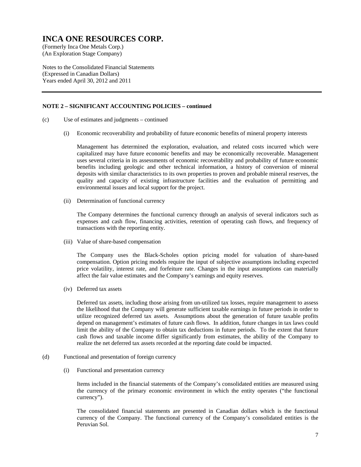(An Exploration Stage Company)

Notes to the Consolidated Financial Statements (Expressed in Canadian Dollars) Years ended April 30, 2012 and 2011

### **NOTE 2 – SIGNIFICANT ACCOUNTING POLICIES – continued**

- (c) Use of estimates and judgments continued
	- (i) Economic recoverability and probability of future economic benefits of mineral property interests

Management has determined the exploration, evaluation, and related costs incurred which were capitalized may have future economic benefits and may be economically recoverable. Management uses several criteria in its assessments of economic recoverability and probability of future economic benefits including geologic and other technical information, a history of conversion of mineral deposits with similar characteristics to its own properties to proven and probable mineral reserves, the quality and capacity of existing infrastructure facilities and the evaluation of permitting and environmental issues and local support for the project.

(ii) Determination of functional currency

The Company determines the functional currency through an analysis of several indicators such as expenses and cash flow, financing activities, retention of operating cash flows, and frequency of transactions with the reporting entity.

(iii) Value of share-based compensation

The Company uses the Black-Scholes option pricing model for valuation of share-based compensation. Option pricing models require the input of subjective assumptions including expected price volatility, interest rate, and forfeiture rate. Changes in the input assumptions can materially affect the fair value estimates and the Company's earnings and equity reserves.

(iv) Deferred tax assets

Deferred tax assets, including those arising from un-utilized tax losses, require management to assess the likelihood that the Company will generate sufficient taxable earnings in future periods in order to utilize recognized deferred tax assets. Assumptions about the generation of future taxable profits depend on management's estimates of future cash flows. In addition, future changes in tax laws could limit the ability of the Company to obtain tax deductions in future periods. To the extent that future cash flows and taxable income differ significantly from estimates, the ability of the Company to realize the net deferred tax assets recorded at the reporting date could be impacted.

- (d) Functional and presentation of foreign currency
	- (i) Functional and presentation currency

Items included in the financial statements of the Company's consolidated entities are measured using the currency of the primary economic environment in which the entity operates ("the functional currency").

The consolidated financial statements are presented in Canadian dollars which is the functional currency of the Company. The functional currency of the Company's consolidated entities is the Peruvian Sol.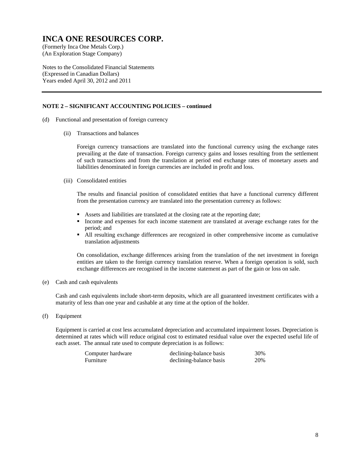(An Exploration Stage Company)

Notes to the Consolidated Financial Statements (Expressed in Canadian Dollars) Years ended April 30, 2012 and 2011

### **NOTE 2 – SIGNIFICANT ACCOUNTING POLICIES – continued**

- (d) Functional and presentation of foreign currency
	- (ii) Transactions and balances

Foreign currency transactions are translated into the functional currency using the exchange rates prevailing at the date of transaction. Foreign currency gains and losses resulting from the settlement of such transactions and from the translation at period end exchange rates of monetary assets and liabilities denominated in foreign currencies are included in profit and loss.

(iii) Consolidated entities

The results and financial position of consolidated entities that have a functional currency different from the presentation currency are translated into the presentation currency as follows:

- Assets and liabilities are translated at the closing rate at the reporting date;
- Income and expenses for each income statement are translated at average exchange rates for the period; and
- All resulting exchange differences are recognized in other comprehensive income as cumulative translation adjustments

On consolidation, exchange differences arising from the translation of the net investment in foreign entities are taken to the foreign currency translation reserve. When a foreign operation is sold, such exchange differences are recognised in the income statement as part of the gain or loss on sale.

(e) Cash and cash equivalents

Cash and cash equivalents include short-term deposits, which are all guaranteed investment certificates with a maturity of less than one year and cashable at any time at the option of the holder.

(f) Equipment

Equipment is carried at cost less accumulated depreciation and accumulated impairment losses. Depreciation is determined at rates which will reduce original cost to estimated residual value over the expected useful life of each asset. The annual rate used to compute depreciation is as follows:

| Computer hardware | declining-balance basis | 30% |
|-------------------|-------------------------|-----|
| Furniture         | declining-balance basis | 20% |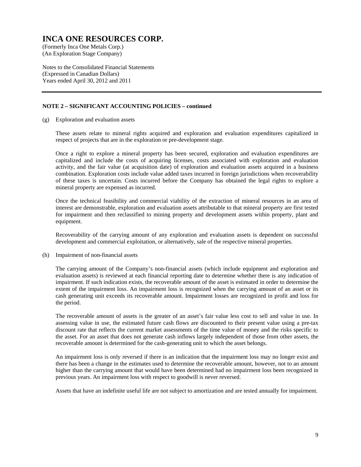(An Exploration Stage Company)

Notes to the Consolidated Financial Statements (Expressed in Canadian Dollars) Years ended April 30, 2012 and 2011

### **NOTE 2 – SIGNIFICANT ACCOUNTING POLICIES – continued**

(g) Exploration and evaluation assets

These assets relate to mineral rights acquired and exploration and evaluation expenditures capitalized in respect of projects that are in the exploration or pre-development stage.

Once a right to explore a mineral property has been secured, exploration and evaluation expenditures are capitalized and include the costs of acquiring licenses, costs associated with exploration and evaluation activity, and the fair value (at acquisition date) of exploration and evaluation assets acquired in a business combination. Exploration costs include value added taxes incurred in foreign jurisdictions when recoverability of these taxes is uncertain. Costs incurred before the Company has obtained the legal rights to explore a mineral property are expensed as incurred.

Once the technical feasibility and commercial viability of the extraction of mineral resources in an area of interest are demonstrable, exploration and evaluation assets attributable to that mineral property are first tested for impairment and then reclassified to mining property and development assets within property, plant and equipment.

Recoverability of the carrying amount of any exploration and evaluation assets is dependent on successful development and commercial exploitation, or alternatively, sale of the respective mineral properties.

(h) Impairment of non-financial assets

The carrying amount of the Company's non-financial assets (which include equipment and exploration and evaluation assets) is reviewed at each financial reporting date to determine whether there is any indication of impairment. If such indication exists, the recoverable amount of the asset is estimated in order to determine the extent of the impairment loss. An impairment loss is recognized when the carrying amount of an asset or its cash generating unit exceeds its recoverable amount. Impairment losses are recognized in profit and loss for the period.

The recoverable amount of assets is the greater of an asset's fair value less cost to sell and value in use. In assessing value in use, the estimated future cash flows are discounted to their present value using a pre-tax discount rate that reflects the current market assessments of the time value of money and the risks specific to the asset. For an asset that does not generate cash inflows largely independent of those from other assets, the recoverable amount is determined for the cash-generating unit to which the asset belongs.

An impairment loss is only reversed if there is an indication that the impairment loss may no longer exist and there has been a change in the estimates used to determine the recoverable amount, however, not to an amount higher than the carrying amount that would have been determined had no impairment loss been recognized in previous years. An impairment loss with respect to goodwill is never reversed.

Assets that have an indefinite useful life are not subject to amortization and are tested annually for impairment.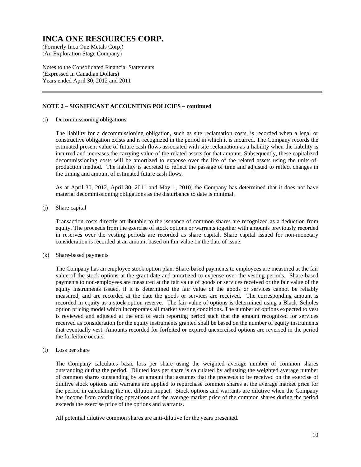(An Exploration Stage Company)

Notes to the Consolidated Financial Statements (Expressed in Canadian Dollars) Years ended April 30, 2012 and 2011

### **NOTE 2 – SIGNIFICANT ACCOUNTING POLICIES – continued**

(i) Decommissioning obligations

The liability for a decommissioning obligation, such as site reclamation costs, is recorded when a legal or constructive obligation exists and is recognized in the period in which it is incurred. The Company records the estimated present value of future cash flows associated with site reclamation as a liability when the liability is incurred and increases the carrying value of the related assets for that amount. Subsequently, these capitalized decommissioning costs will be amortized to expense over the life of the related assets using the units-ofproduction method. The liability is accreted to reflect the passage of time and adjusted to reflect changes in the timing and amount of estimated future cash flows.

As at April 30, 2012, April 30, 2011 and May 1, 2010, the Company has determined that it does not have material decommissioning obligations as the disturbance to date is minimal.

(j) Share capital

Transaction costs directly attributable to the issuance of common shares are recognized as a deduction from equity. The proceeds from the exercise of stock options or warrants together with amounts previously recorded in reserves over the vesting periods are recorded as share capital. Share capital issued for non-monetary consideration is recorded at an amount based on fair value on the date of issue.

(k) Share-based payments

The Company has an employee stock option plan. Share-based payments to employees are measured at the fair value of the stock options at the grant date and amortized to expense over the vesting periods. Share-based payments to non-employees are measured at the fair value of goods or services received or the fair value of the equity instruments issued, if it is determined the fair value of the goods or services cannot be reliably measured, and are recorded at the date the goods or services are received. The corresponding amount is recorded in equity as a stock option reserve. The fair value of options is determined using a Black–Scholes option pricing model which incorporates all market vesting conditions. The number of options expected to vest is reviewed and adjusted at the end of each reporting period such that the amount recognized for services received as consideration for the equity instruments granted shall be based on the number of equity instruments that eventually vest. Amounts recorded for forfeited or expired unexercised options are reversed in the period the forfeiture occurs.

(l) Loss per share

The Company calculates basic loss per share using the weighted average number of common shares outstanding during the period. Diluted loss per share is calculated by adjusting the weighted average number of common shares outstanding by an amount that assumes that the proceeds to be received on the exercise of dilutive stock options and warrants are applied to repurchase common shares at the average market price for the period in calculating the net dilution impact. Stock options and warrants are dilutive when the Company has income from continuing operations and the average market price of the common shares during the period exceeds the exercise price of the options and warrants.

All potential dilutive common shares are anti-dilutive for the years presented.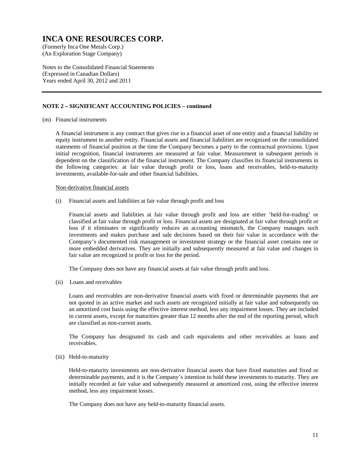(An Exploration Stage Company)

Notes to the Consolidated Financial Statements (Expressed in Canadian Dollars) Years ended April 30, 2012 and 2011

### **NOTE 2 – SIGNIFICANT ACCOUNTING POLICIES – continued**

(m) Financial instruments

A financial instrument is any contract that gives rise to a financial asset of one entity and a financial liability or equity instrument to another entity. Financial assets and financial liabilities are recognized on the consolidated statements of financial position at the time the Company becomes a party to the contractual provisions. Upon initial recognition, financial instruments are measured at fair value. Measurement in subsequent periods is dependent on the classification of the financial instrument. The Company classifies its financial instruments in the following categories: at fair value through profit or loss, loans and receivables, held-to-maturity investments, available-for-sale and other financial liabilities.

Non-derivative financial assets

(i) Financial assets and liabilities at fair value through profit and loss

Financial assets and liabilities at fair value through profit and loss are either 'held-for-trading' or classified at fair value through profit or loss. Financial assets are designated at fair value through profit or loss if it eliminates or significantly reduces an accounting mismatch, the Company manages such investments and makes purchase and sale decisions based on their fair value in accordance with the Company's documented risk management or investment strategy or the financial asset contains one or more embedded derivatives. They are initially and subsequently measured at fair value and changes in fair value are recognized in profit or loss for the period.

The Company does not have any financial assets at fair value through profit and loss.

(ii) Loans and receivables

Loans and receivables are non-derivative financial assets with fixed or determinable payments that are not quoted in an active market and such assets are recognized initially at fair value and subsequently on an amortized cost basis using the effective interest method, less any impairment losses. They are included in current assets, except for maturities greater than 12 months after the end of the reporting period, which are classified as non-current assets.

The Company has designated its cash and cash equivalents and other receivables as loans and receivables.

(iii) Held-to-maturity

Held-to-maturity investments are non-derivative financial assets that have fixed maturities and fixed or determinable payments, and it is the Company's intention to hold these investments to maturity. They are initially recorded at fair value and subsequently measured at amortized cost, using the effective interest method, less any impairment losses.

The Company does not have any held-to-maturity financial assets.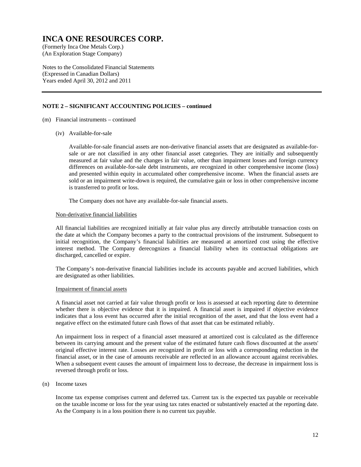(An Exploration Stage Company)

Notes to the Consolidated Financial Statements (Expressed in Canadian Dollars) Years ended April 30, 2012 and 2011

### **NOTE 2 – SIGNIFICANT ACCOUNTING POLICIES – continued**

#### (m) Financial instruments – continued

(iv) Available-for-sale

Available-for-sale financial assets are non-derivative financial assets that are designated as available-forsale or are not classified in any other financial asset categories. They are initially and subsequently measured at fair value and the changes in fair value, other than impairment losses and foreign currency differences on available-for-sale debt instruments, are recognized in other comprehensive income (loss) and presented within equity in accumulated other comprehensive income. When the financial assets are sold or an impairment write-down is required, the cumulative gain or loss in other comprehensive income is transferred to profit or loss.

The Company does not have any available-for-sale financial assets.

#### Non-derivative financial liabilities

All financial liabilities are recognized initially at fair value plus any directly attributable transaction costs on the date at which the Company becomes a party to the contractual provisions of the instrument. Subsequent to initial recognition, the Company's financial liabilities are measured at amortized cost using the effective interest method. The Company derecognizes a financial liability when its contractual obligations are discharged, cancelled or expire.

The Company's non-derivative financial liabilities include its accounts payable and accrued liabilities, which are designated as other liabilities.

#### Impairment of financial assets

A financial asset not carried at fair value through profit or loss is assessed at each reporting date to determine whether there is objective evidence that it is impaired. A financial asset is impaired if objective evidence indicates that a loss event has occurred after the initial recognition of the asset, and that the loss event had a negative effect on the estimated future cash flows of that asset that can be estimated reliably.

An impairment loss in respect of a financial asset measured at amortized cost is calculated as the difference between its carrying amount and the present value of the estimated future cash flows discounted at the assets' original effective interest rate. Losses are recognized in profit or loss with a corresponding reduction in the financial asset, or in the case of amounts receivable are reflected in an allowance account against receivables. When a subsequent event causes the amount of impairment loss to decrease, the decrease in impairment loss is reversed through profit or loss.

(n) Income taxes

Income tax expense comprises current and deferred tax. Current tax is the expected tax payable or receivable on the taxable income or loss for the year using tax rates enacted or substantively enacted at the reporting date. As the Company is in a loss position there is no current tax payable.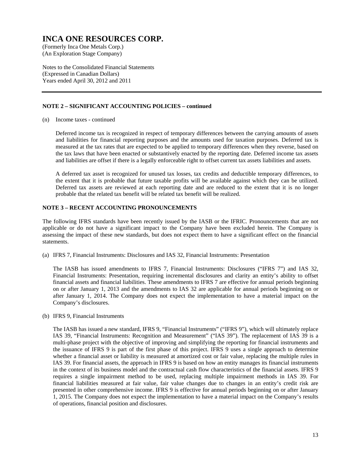(An Exploration Stage Company)

Notes to the Consolidated Financial Statements (Expressed in Canadian Dollars) Years ended April 30, 2012 and 2011

#### **NOTE 2 – SIGNIFICANT ACCOUNTING POLICIES – continued**

#### (n) Income taxes - continued

Deferred income tax is recognized in respect of temporary differences between the carrying amounts of assets and liabilities for financial reporting purposes and the amounts used for taxation purposes. Deferred tax is measured at the tax rates that are expected to be applied to temporary differences when they reverse, based on the tax laws that have been enacted or substantively enacted by the reporting date. Deferred income tax assets and liabilities are offset if there is a legally enforceable right to offset current tax assets liabilities and assets.

A deferred tax asset is recognized for unused tax losses, tax credits and deductible temporary differences, to the extent that it is probable that future taxable profits will be available against which they can be utilized. Deferred tax assets are reviewed at each reporting date and are reduced to the extent that it is no longer probable that the related tax benefit will be related tax benefit will be realized.

### **NOTE 3 – RECENT ACCOUNTING PRONOUNCEMENTS**

The following IFRS standards have been recently issued by the IASB or the IFRIC. Pronouncements that are not applicable or do not have a significant impact to the Company have been excluded herein. The Company is assessing the impact of these new standards, but does not expect them to have a significant effect on the financial statements.

(a) IFRS 7, Financial Instruments: Disclosures and IAS 32, Financial Instruments: Presentation

The IASB has issued amendments to IFRS 7, Financial Instruments: Disclosures ("IFRS 7") and IAS 32, Financial Instruments: Presentation, requiring incremental disclosures and clarity an entity's ability to offset financial assets and financial liabilities. These amendments to IFRS 7 are effective for annual periods beginning on or after January 1, 2013 and the amendments to IAS 32 are applicable for annual periods beginning on or after January 1, 2014. The Company does not expect the implementation to have a material impact on the Company's disclosures.

#### (b) IFRS 9, Financial Instruments

The IASB has issued a new standard, IFRS 9, "Financial Instruments" ("IFRS 9"), which will ultimately replace IAS 39, "Financial Instruments: Recognition and Measurement" ("IAS 39"). The replacement of IAS 39 is a multi-phase project with the objective of improving and simplifying the reporting for financial instruments and the issuance of IFRS 9 is part of the first phase of this project. IFRS 9 uses a single approach to determine whether a financial asset or liability is measured at amortized cost or fair value, replacing the multiple rules in IAS 39. For financial assets, the approach in IFRS 9 is based on how an entity manages its financial instruments in the context of its business model and the contractual cash flow characteristics of the financial assets. IFRS 9 requires a single impairment method to be used, replacing multiple impairment methods in IAS 39. For financial liabilities measured at fair value, fair value changes due to changes in an entity's credit risk are presented in other comprehensive income. IFRS 9 is effective for annual periods beginning on or after January 1, 2015. The Company does not expect the implementation to have a material impact on the Company's results of operations, financial position and disclosures.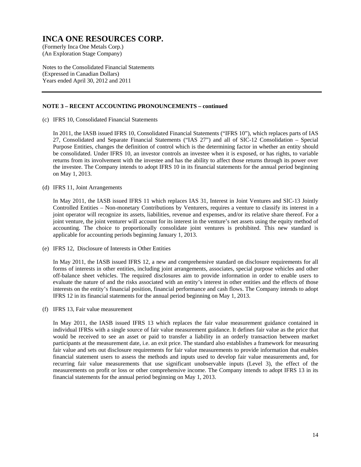(An Exploration Stage Company)

Notes to the Consolidated Financial Statements (Expressed in Canadian Dollars) Years ended April 30, 2012 and 2011

#### **NOTE 3 – RECENT ACCOUNTING PRONOUNCEMENTS – continued**

(c) IFRS 10, Consolidated Financial Statements

In 2011, the IASB issued IFRS 10, Consolidated Financial Statements ("IFRS 10"), which replaces parts of IAS 27, Consolidated and Separate Financial Statements ("IAS 27") and all of SIC-12 Consolidation – Special Purpose Entities, changes the definition of control which is the determining factor in whether an entity should be consolidated. Under IFRS 10, an investor controls an investee when it is exposed, or has rights, to variable returns from its involvement with the investee and has the ability to affect those returns through its power over the investee. The Company intends to adopt IFRS 10 in its financial statements for the annual period beginning on May 1, 2013.

(d) IFRS 11, Joint Arrangements

In May 2011, the IASB issued IFRS 11 which replaces IAS 31, Interest in Joint Ventures and SIC-13 Jointly Controlled Entities – Non-monetary Contributions by Venturers, requires a venture to classify its interest in a joint operator will recognize its assets, liabilities, revenue and expenses, and/or its relative share thereof. For a joint venture, the joint venturer will account for its interest in the venture's net assets using the equity method of accounting. The choice to proportionally consolidate joint ventures is prohibited. This new standard is applicable for accounting periods beginning January 1, 2013.

(e) IFRS 12, Disclosure of Interests in Other Entities

In May 2011, the IASB issued IFRS 12, a new and comprehensive standard on disclosure requirements for all forms of interests in other entities, including joint arrangements, associates, special purpose vehicles and other off-balance sheet vehicles. The required disclosures aim to provide information in order to enable users to evaluate the nature of and the risks associated with an entity's interest in other entities and the effects of those interests on the entity's financial position, financial performance and cash flows. The Company intends to adopt IFRS 12 in its financial statements for the annual period beginning on May 1, 2013.

(f) IFRS 13, Fair value measurement

In May 2011, the IASB issued IFRS 13 which replaces the fair value measurement guidance contained in individual IFRSs with a single source of fair value measurement guidance. It defines fair value as the price that would be received to see an asset or paid to transfer a liability in an orderly transaction between market participants at the measurement date, i.e. an exit price. The standard also establishes a framework for measuring fair value and sets out disclosure requirements for fair value measurements to provide information that enables financial statement users to assess the methods and inputs used to develop fair value measurements and, for recurring fair value measurements that use significant unobservable inputs (Level 3), the effect of the measurements on profit or loss or other comprehensive income. The Company intends to adopt IFRS 13 in its financial statements for the annual period beginning on May 1, 2013.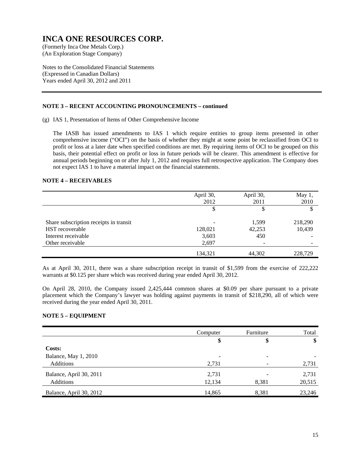(An Exploration Stage Company)

Notes to the Consolidated Financial Statements (Expressed in Canadian Dollars) Years ended April 30, 2012 and 2011

### **NOTE 3 – RECENT ACCOUNTING PRONOUNCEMENTS – continued**

(g) IAS 1, Presentation of Items of Other Comprehensive Income

The IASB has issued amendments to IAS 1 which require entities to group items presented in other comprehensive income ("OCI") on the basis of whether they might at some point be reclassified from OCI to profit or loss at a later date when specified conditions are met. By requiring items of OCI to be grouped on this basis, their potential effect on profit or loss in future periods will be clearer. This amendment is effective for annual periods beginning on or after July 1, 2012 and requires full retrospective application. The Company does not expect IAS 1 to have a material impact on the financial statements.

### **NOTE 4 – RECEIVABLES**

|                                        | April 30,<br>2012 | April 30,<br>2011 | May 1,<br>2010 |
|----------------------------------------|-------------------|-------------------|----------------|
|                                        | \$                | \$                |                |
| Share subscription receipts in transit |                   | 1,599             | 218,290        |
| <b>HST</b> recoverable                 | 128,021           | 42,253            | 10,439         |
| Interest receivable                    | 3,603             | 450               |                |
| Other receivable                       | 2,697             |                   |                |
|                                        | 134,321           | 44,302            | 228,729        |

As at April 30, 2011, there was a share subscription receipt in transit of \$1,599 from the exercise of 222,222 warrants at \$0.125 per share which was received during year ended April 30, 2012.

On April 28, 2010, the Company issued 2,425,444 common shares at \$0.09 per share pursuant to a private placement which the Company's lawyer was holding against payments in transit of \$218,290, all of which were received during the year ended April 30, 2011.

### **NOTE 5 – EQUIPMENT**

|                         | Computer | Furniture | Total  |
|-------------------------|----------|-----------|--------|
|                         | \$       | \$        | \$     |
| Costs:                  |          |           |        |
| Balance, May 1, 2010    |          | -         |        |
| Additions               | 2,731    |           | 2,731  |
| Balance, April 30, 2011 | 2,731    |           | 2,731  |
| Additions               | 12,134   | 8,381     | 20,515 |
| Balance, April 30, 2012 | 14,865   | 8,381     | 23,246 |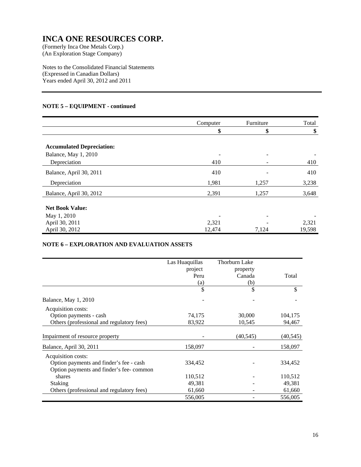(An Exploration Stage Company)

Notes to the Consolidated Financial Statements (Expressed in Canadian Dollars) Years ended April 30, 2012 and 2011

### **NOTE 5 – EQUIPMENT - continued**

|                                  | Computer | Furniture | Total  |
|----------------------------------|----------|-----------|--------|
|                                  | \$       | \$        | \$     |
|                                  |          |           |        |
| <b>Accumulated Depreciation:</b> |          |           |        |
| Balance, May 1, 2010             |          |           |        |
| Depreciation                     | 410      |           | 410    |
| Balance, April 30, 2011          | 410      |           | 410    |
| Depreciation                     | 1,981    | 1,257     | 3,238  |
| Balance, April 30, 2012          | 2,391    | 1,257     | 3,648  |
| <b>Net Book Value:</b>           |          |           |        |
| May 1, 2010                      |          |           |        |
| April 30, 2011                   | 2,321    |           | 2,321  |
| April 30, 2012                   | 12,474   | 7,124     | 19,598 |

### **NOTE 6 – EXPLORATION AND EVALUATION ASSETS**

|                                           | Las Huaquillas | Thorburn Lake |           |
|-------------------------------------------|----------------|---------------|-----------|
|                                           | project        | property      |           |
|                                           | Peru           | Canada        | Total     |
|                                           | (a)            | (b)           |           |
|                                           | \$             | \$            | \$        |
| Balance, May 1, 2010                      |                |               |           |
| Acquisition costs:                        |                |               |           |
| Option payments - cash                    | 74,175         | 30,000        | 104,175   |
| Others (professional and regulatory fees) | 83,922         | 10,545        | 94,467    |
| Impairment of resource property           |                | (40, 545)     | (40, 545) |
| Balance, April 30, 2011                   | 158,097        |               | 158,097   |
| Acquisition costs:                        |                |               |           |
| Option payments and finder's fee - cash   | 334,452        |               | 334,452   |
| Option payments and finder's fee-common   |                |               |           |
| shares                                    | 110,512        |               | 110,512   |
| Staking                                   | 49,381         |               | 49,381    |
| Others (professional and regulatory fees) | 61,660         |               | 61,660    |
|                                           | 556,005        |               | 556,005   |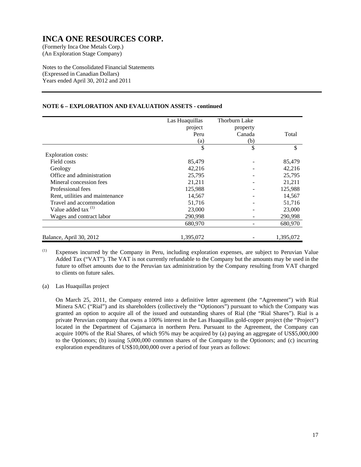(An Exploration Stage Company)

Notes to the Consolidated Financial Statements (Expressed in Canadian Dollars) Years ended April 30, 2012 and 2011

### **NOTE 6 – EXPLORATION AND EVALUATION ASSETS - continued**

|                                 | Las Huaquillas | Thorburn Lake |           |
|---------------------------------|----------------|---------------|-----------|
|                                 | project        | property      |           |
|                                 | Peru           | Canada        | Total     |
|                                 | (a)            | (b)           |           |
|                                 | \$             | \$            | \$        |
| <b>Exploration costs:</b>       |                |               |           |
| Field costs                     | 85,479         |               | 85,479    |
| Geology                         | 42,216         |               | 42,216    |
| Office and administration       | 25,795         |               | 25,795    |
| Mineral concession fees         | 21,211         |               | 21,211    |
| Professional fees               | 125,988        |               | 125,988   |
| Rent, utilities and maintenance | 14,567         |               | 14,567    |
| Travel and accommodation        | 51,716         |               | 51,716    |
| Value added tax $(1)$           | 23,000         |               | 23,000    |
| Wages and contract labor        | 290,998        |               | 290,998   |
|                                 | 680,970        |               | 680,970   |
|                                 |                |               |           |
| Balance, April 30, 2012         | 1,395,072      |               | 1,395,072 |

(1) Expenses incurred by the Company in Peru, including exploration expenses, are subject to Peruvian Value Added Tax ("VAT"). The VAT is not currently refundable to the Company but the amounts may be used in the future to offset amounts due to the Peruvian tax administration by the Company resulting from VAT charged to clients on future sales.

(a) Las Huaquillas project

On March 25, 2011, the Company entered into a definitive letter agreement (the "Agreement") with Rial Minera SAC ("Rial") and its shareholders (collectively the "Optionors") pursuant to which the Company was granted an option to acquire all of the issued and outstanding shares of Rial (the "Rial Shares"). Rial is a private Peruvian company that owns a 100% interest in the Las Huaquillas gold-copper project (the "Project") located in the Department of Cajamarca in northern Peru. Pursuant to the Agreement, the Company can acquire 100% of the Rial Shares, of which 95% may be acquired by (a) paying an aggregate of US\$5,000,000 to the Optionors; (b) issuing 5,000,000 common shares of the Company to the Optionors; and (c) incurring exploration expenditures of US\$10,000,000 over a period of four years as follows: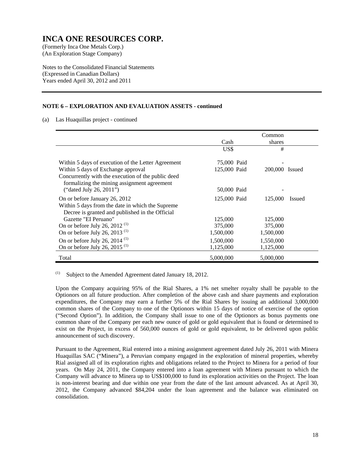(An Exploration Stage Company)

Notes to the Consolidated Financial Statements (Expressed in Canadian Dollars) Years ended April 30, 2012 and 2011

### **NOTE 6 – EXPLORATION AND EVALUATION ASSETS - continued**

(a) Las Huaquillas project - continued

|                                                                                                     | Cash                        | Common<br>shares |        |
|-----------------------------------------------------------------------------------------------------|-----------------------------|------------------|--------|
|                                                                                                     | US\$                        | #                |        |
| Within 5 days of execution of the Letter Agreement<br>Within 5 days of Exchange approval            | 75,000 Paid<br>125,000 Paid | 200,000 Issued   |        |
| Concurrently with the execution of the public deed<br>formalizing the mining assignment agreement   |                             |                  |        |
| ("dated July 26, 2011")<br>On or before January 26, 2012                                            | 50,000 Paid<br>125,000 Paid | 125,000          | Issued |
| Within 5 days from the date in which the Supreme<br>Decree is granted and published in the Official |                             |                  |        |
| Gazette "EI Peruano"                                                                                | 125,000                     | 125,000          |        |
| On or before July 26, 2012 $(1)$                                                                    | 375,000                     | 375,000          |        |
| On or before July 26, 2013 $^{(1)}$                                                                 | 1,500,000                   | 1,500,000        |        |
| On or before July 26, 2014 $^{(1)}$                                                                 | 1,500,000                   | 1,550,000        |        |
| On or before July 26, 2015 <sup>(1)</sup>                                                           | 1,125,000                   | 1,125,000        |        |
| Total                                                                                               | 5,000,000                   | 5,000,000        |        |

(1) Subject to the Amended Agreement dated January 18, 2012.

 Upon the Company acquiring 95% of the Rial Shares, a 1% net smelter royalty shall be payable to the Optionors on all future production. After completion of the above cash and share payments and exploration expenditures, the Company may earn a further 5% of the Rial Shares by issuing an additional 3,000,000 common shares of the Company to one of the Optionors within 15 days of notice of exercise of the option ("Second Option"). In addition, the Company shall issue to one of the Optionors as bonus payments one common share of the Company per each new ounce of gold or gold equivalent that is found or determined to exist on the Project, in excess of 560,000 ounces of gold or gold equivalent, to be delivered upon public announcement of such discovery.

Pursuant to the Agreement, Rial entered into a mining assignment agreement dated July 26, 2011 with Minera Huaquillas SAC ("Minera"), a Peruvian company engaged in the exploration of mineral properties, whereby Rial assigned all of its exploration rights and obligations related to the Project to Minera for a period of four years. On May 24, 2011, the Company entered into a loan agreement with Minera pursuant to which the Company will advance to Minera up to US\$100,000 to fund its exploration activities on the Project. The loan is non-interest bearing and due within one year from the date of the last amount advanced. As at April 30, 2012, the Company advanced \$84,204 under the loan agreement and the balance was eliminated on consolidation.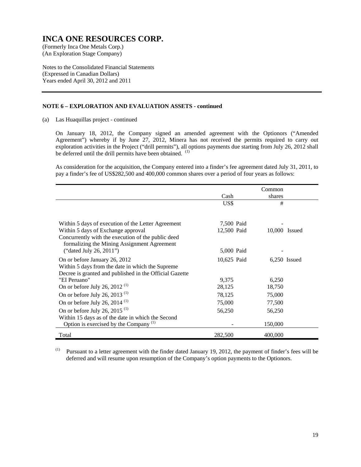(An Exploration Stage Company)

Notes to the Consolidated Financial Statements (Expressed in Canadian Dollars) Years ended April 30, 2012 and 2011

#### **NOTE 6 – EXPLORATION AND EVALUATION ASSETS - continued**

(a) Las Huaquillas project - continued

On January 18, 2012, the Company signed an amended agreement with the Optionors ("Amended Agreement") whereby if by June 27, 2012, Minera has not received the permits required to carry out exploration activities in the Project ("drill permits"), all options payments due starting from July 26, 2012 shall be deferred until the drill permits have been obtained. (1)

As consideration for the acquisition, the Company entered into a finder's fee agreement dated July 31, 2011, to pay a finder's fee of US\$282,500 and 400,000 common shares over a period of four years as follows:

|                                                         | Common      |                |  |
|---------------------------------------------------------|-------------|----------------|--|
|                                                         | Cash        | shares         |  |
|                                                         | US\$        | #              |  |
|                                                         |             |                |  |
| Within 5 days of execution of the Letter Agreement      | 7,500 Paid  |                |  |
| Within 5 days of Exchange approval                      | 12,500 Paid | 10,000 Issued  |  |
| Concurrently with the execution of the public deed      |             |                |  |
| formalizing the Mining Assignment Agreement             |             |                |  |
| ("dated July 26, 2011")                                 | 5,000 Paid  |                |  |
| On or before January 26, 2012                           | 10,625 Paid | $6,250$ Issued |  |
| Within 5 days from the date in which the Supreme        |             |                |  |
| Decree is granted and published in the Official Gazette |             |                |  |
| "EI Peruano"                                            | 9,375       | 6,250          |  |
| On or before July 26, 2012 <sup>(1)</sup>               | 28,125      | 18,750         |  |
| On or before July 26, 2013 <sup>(1)</sup>               | 78,125      | 75,000         |  |
| On or before July 26, 2014 $^{(1)}$                     | 75,000      | 77,500         |  |
| On or before July 26, 2015 <sup><math>(1)</math></sup>  | 56,250      | 56,250         |  |
| Within 15 days as of the date in which the Second       |             |                |  |
| Option is exercised by the Company <sup>(1)</sup>       |             | 150,000        |  |
| Total                                                   | 282,500     | 400,000        |  |

(1) Pursuant to a letter agreement with the finder dated January 19, 2012, the payment of finder's fees will be deferred and will resume upon resumption of the Company's option payments to the Optionors.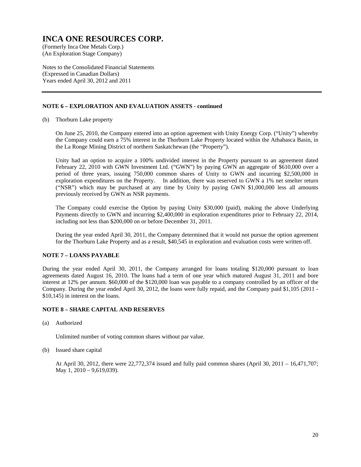(An Exploration Stage Company)

Notes to the Consolidated Financial Statements (Expressed in Canadian Dollars) Years ended April 30, 2012 and 2011

### **NOTE 6 – EXPLORATION AND EVALUATION ASSETS - continued**

#### (b) Thorburn Lake property

On June 25, 2010, the Company entered into an option agreement with Unity Energy Corp. ("Unity") whereby the Company could earn a 75% interest in the Thorburn Lake Property located within the Athabasca Basin, in the La Ronge Mining District of northern Saskatchewan (the "Property").

Unity had an option to acquire a 100% undivided interest in the Property pursuant to an agreement dated February 22, 2010 with GWN Investment Ltd. ("GWN") by paying GWN an aggregate of \$610,000 over a period of three years, issuing 750,000 common shares of Unity to GWN and incurring \$2,500,000 in exploration expenditures on the Property. In addition, there was reserved to GWN a 1% net smelter return ("NSR") which may be purchased at any time by Unity by paying GWN \$1,000,000 less all amounts previously received by GWN as NSR payments.

The Company could exercise the Option by paying Unity \$30,000 (paid), making the above Underlying Payments directly to GWN and incurring \$2,400,000 in exploration expenditures prior to February 22, 2014, including not less than \$200,000 on or before December 31, 2011.

During the year ended April 30, 2011, the Company determined that it would not pursue the option agreement for the Thorburn Lake Property and as a result, \$40,545 in exploration and evaluation costs were written off.

#### **NOTE 7 – LOANS PAYABLE**

During the year ended April 30, 2011, the Company arranged for loans totaling \$120,000 pursuant to loan agreements dated August 16, 2010. The loans had a term of one year which matured August 31, 2011 and bore interest at 12% per annum. \$60,000 of the \$120,000 loan was payable to a company controlled by an officer of the Company. During the year ended April 30, 2012, the loans were fully repaid, and the Company paid \$1,105 (2011 - \$10,145) in interest on the loans.

### **NOTE 8 – SHARE CAPITAL AND RESERVES**

(a) Authorized

Unlimited number of voting common shares without par value.

(b) Issued share capital

 At April 30, 2012, there were 22,772,374 issued and fully paid common shares (April 30, 2011 – 16,471,707; May 1, 2010 – 9,619,039).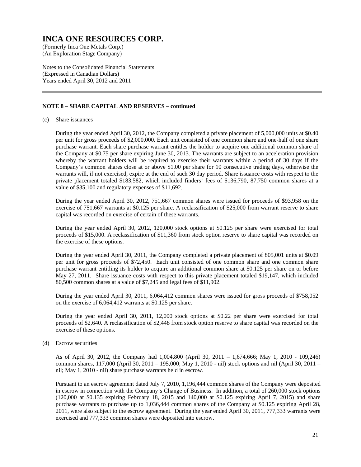(An Exploration Stage Company)

Notes to the Consolidated Financial Statements (Expressed in Canadian Dollars) Years ended April 30, 2012 and 2011

#### **NOTE 8 – SHARE CAPITAL AND RESERVES – continued**

#### (c) Share issuances

During the year ended April 30, 2012, the Company completed a private placement of 5,000,000 units at \$0.40 per unit for gross proceeds of \$2,000,000. Each unit consisted of one common share and one-half of one share purchase warrant. Each share purchase warrant entitles the holder to acquire one additional common share of the Company at \$0.75 per share expiring June 30, 2013. The warrants are subject to an acceleration provision whereby the warrant holders will be required to exercise their warrants within a period of 30 days if the Company's common shares close at or above \$1.00 per share for 10 consecutive trading days, otherwise the warrants will, if not exercised, expire at the end of such 30 day period. Share issuance costs with respect to the private placement totaled \$183,582, which included finders' fees of \$136,790, 87,750 common shares at a value of \$35,100 and regulatory expenses of \$11,692.

 During the year ended April 30, 2012, 751,667 common shares were issued for proceeds of \$93,958 on the exercise of 751,667 warrants at \$0.125 per share. A reclassification of \$25,000 from warrant reserve to share capital was recorded on exercise of certain of these warrants.

 During the year ended April 30, 2012, 120,000 stock options at \$0.125 per share were exercised for total proceeds of \$15,000. A reclassification of \$11,360 from stock option reserve to share capital was recorded on the exercise of these options.

 During the year ended April 30, 2011, the Company completed a private placement of 805,001 units at \$0.09 per unit for gross proceeds of \$72,450. Each unit consisted of one common share and one common share purchase warrant entitling its holder to acquire an additional common share at \$0.125 per share on or before May 27, 2011. Share issuance costs with respect to this private placement totaled \$19,147, which included 80,500 common shares at a value of \$7,245 and legal fees of \$11,902.

 During the year ended April 30, 2011, 6,064,412 common shares were issued for gross proceeds of \$758,052 on the exercise of 6,064,412 warrants at \$0.125 per share.

 During the year ended April 30, 2011, 12,000 stock options at \$0.22 per share were exercised for total proceeds of \$2,640. A reclassification of \$2,448 from stock option reserve to share capital was recorded on the exercise of these options.

(d) Escrow securities

As of April 30, 2012, the Company had 1,004,800 (April 30, 2011 – 1,674,666; May 1, 2010 - 109,246) common shares, 117,000 (April 30, 2011 – 195,000; May 1, 2010 - nil) stock options and nil (April 30, 2011 – nil; May 1, 2010 - nil) share purchase warrants held in escrow.

Pursuant to an escrow agreement dated July 7, 2010, 1,196,444 common shares of the Company were deposited in escrow in connection with the Company's Change of Business. In addition, a total of 260,000 stock options (120,000 at \$0.135 expiring February 18, 2015 and 140,000 at \$0.125 expiring April 7, 2015) and share purchase warrants to purchase up to 1,036,444 common shares of the Company at \$0.125 expiring April 28, 2011, were also subject to the escrow agreement. During the year ended April 30, 2011, 777,333 warrants were exercised and 777,333 common shares were deposited into escrow.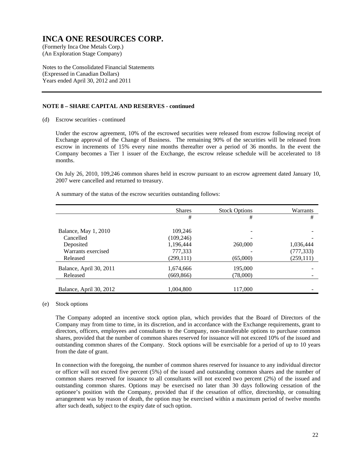(An Exploration Stage Company)

Notes to the Consolidated Financial Statements (Expressed in Canadian Dollars) Years ended April 30, 2012 and 2011

### **NOTE 8 – SHARE CAPITAL AND RESERVES - continued**

(d) Escrow securities - continued

Under the escrow agreement, 10% of the escrowed securities were released from escrow following receipt of Exchange approval of the Change of Business. The remaining 90% of the securities will be released from escrow in increments of 15% every nine months thereafter over a period of 36 months. In the event the Company becomes a Tier 1 issuer of the Exchange, the escrow release schedule will be accelerated to 18 months.

On July 26, 2010, 109,246 common shares held in escrow pursuant to an escrow agreement dated January 10, 2007 were cancelled and returned to treasury.

|                         | <b>Shares</b> | <b>Stock Options</b> | Warrants   |
|-------------------------|---------------|----------------------|------------|
|                         | #             | #                    | #          |
|                         |               |                      |            |
| Balance, May 1, 2010    | 109,246       |                      |            |
| Cancelled               | (109, 246)    |                      |            |
| Deposited               | 1,196,444     | 260,000              | 1,036,444  |
| Warrants exercised      | 777,333       |                      | (777, 333) |
| Released                | (299, 111)    | (65,000)             | (259, 111) |
| Balance, April 30, 2011 | 1,674,666     | 195,000              |            |
| Released                | (669, 866)    | (78,000)             |            |
|                         |               |                      |            |
| Balance, April 30, 2012 | 1,004,800     | 117,000              |            |

A summary of the status of the escrow securities outstanding follows:

(e) Stock options

The Company adopted an incentive stock option plan, which provides that the Board of Directors of the Company may from time to time, in its discretion, and in accordance with the Exchange requirements, grant to directors, officers, employees and consultants to the Company, non-transferable options to purchase common shares, provided that the number of common shares reserved for issuance will not exceed 10% of the issued and outstanding common shares of the Company. Stock options will be exercisable for a period of up to 10 years from the date of grant.

In connection with the foregoing, the number of common shares reserved for issuance to any individual director or officer will not exceed five percent (5%) of the issued and outstanding common shares and the number of common shares reserved for issuance to all consultants will not exceed two percent (2%) of the issued and outstanding common shares. Options may be exercised no later than 30 days following cessation of the optionee's position with the Company, provided that if the cessation of office, directorship, or consulting arrangement was by reason of death, the option may be exercised within a maximum period of twelve months after such death, subject to the expiry date of such option.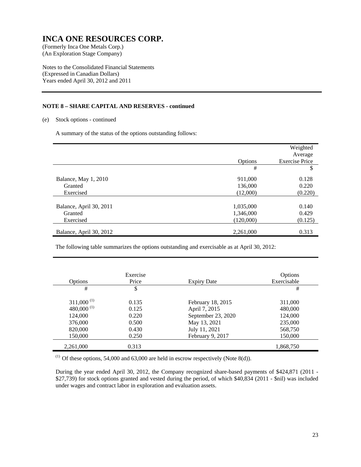(An Exploration Stage Company)

Notes to the Consolidated Financial Statements (Expressed in Canadian Dollars) Years ended April 30, 2012 and 2011

### **NOTE 8 – SHARE CAPITAL AND RESERVES - continued**

### (e) Stock options - continued

A summary of the status of the options outstanding follows:

|                         |           | Weighted              |
|-------------------------|-----------|-----------------------|
|                         |           | Average               |
|                         | Options   | <b>Exercise Price</b> |
|                         | #         | \$                    |
| Balance, May 1, 2010    | 911,000   | 0.128                 |
| Granted                 | 136,000   | 0.220                 |
| Exercised               | (12,000)  | (0.220)               |
|                         |           |                       |
| Balance, April 30, 2011 | 1,035,000 | 0.140                 |
| Granted                 | 1,346,000 | 0.429                 |
| Exercised               | (120,000) | (0.125)               |
|                         |           |                       |
| Balance, April 30, 2012 | 2,261,000 | 0.313                 |

The following table summarizes the options outstanding and exercisable as at April 30, 2012:

| Options          | Exercise<br>Price | <b>Expiry Date</b> | Options<br>Exercisable |
|------------------|-------------------|--------------------|------------------------|
| #                | \$                |                    | #                      |
| $311,000^{(1)}$  | 0.135             | February 18, 2015  | 311,000                |
| 480,000 $^{(1)}$ | 0.125             | April 7, 2015      | 480,000                |
| 124,000          | 0.220             | September 23, 2020 | 124,000                |
| 376,000          | 0.500             | May 13, 2021       | 235,000                |
| 820,000          | 0.430             | July 11, 2021      | 568,750                |
| 150,000          | 0.250             | February 9, 2017   | 150,000                |
| 2,261,000        | 0.313             |                    | 1,868,750              |

 $(1)$  Of these options, 54,000 and 63,000 are held in escrow respectively (Note 8(d)).

During the year ended April 30, 2012, the Company recognized share-based payments of \$424,871 (2011 - \$27,739) for stock options granted and vested during the period, of which \$40,834 (2011 - \$nil) was included under wages and contract labor in exploration and evaluation assets.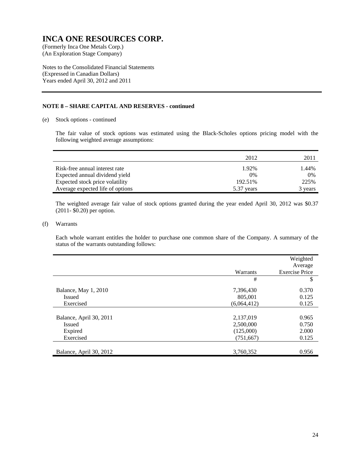(An Exploration Stage Company)

Notes to the Consolidated Financial Statements (Expressed in Canadian Dollars) Years ended April 30, 2012 and 2011

### **NOTE 8 – SHARE CAPITAL AND RESERVES - continued**

### (e) Stock options - continued

The fair value of stock options was estimated using the Black-Scholes options pricing model with the following weighted average assumptions:

|                                  | 2012       | 2011    |
|----------------------------------|------------|---------|
| Risk-free annual interest rate   | 1.92%      | 1.44%   |
| Expected annual dividend yield   | $0\%$      | $0\%$   |
| Expected stock price volatility  | 192.51%    | 225%    |
| Average expected life of options | 5.37 years | 3 years |

The weighted average fair value of stock options granted during the year ended April 30, 2012 was \$0.37 (2011- \$0.20) per option.

### (f) Warrants

Each whole warrant entitles the holder to purchase one common share of the Company. A summary of the status of the warrants outstanding follows:

|                         | Warrants    | Weighted<br>Average<br><b>Exercise Price</b> |
|-------------------------|-------------|----------------------------------------------|
|                         | #           | \$                                           |
| Balance, May 1, 2010    | 7,396,430   | 0.370                                        |
| <b>Issued</b>           | 805,001     | 0.125                                        |
| Exercised               | (6,064,412) | 0.125                                        |
|                         |             |                                              |
| Balance, April 30, 2011 | 2,137,019   | 0.965                                        |
| <b>Issued</b>           | 2,500,000   | 0.750                                        |
| Expired                 | (125,000)   | 2.000                                        |
| Exercised               | (751, 667)  | 0.125                                        |
|                         |             |                                              |
| Balance, April 30, 2012 | 3,760,352   | 0.956                                        |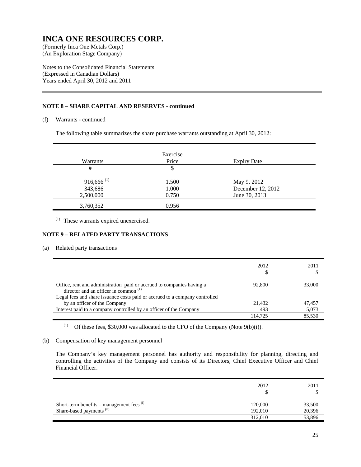(An Exploration Stage Company)

Notes to the Consolidated Financial Statements (Expressed in Canadian Dollars) Years ended April 30, 2012 and 2011

### **NOTE 8 – SHARE CAPITAL AND RESERVES - continued**

(f) Warrants - continued

The following table summarizes the share purchase warrants outstanding at April 30, 2012:

| Warrants                 | Exercise<br>Price | <b>Expiry Date</b> |  |
|--------------------------|-------------------|--------------------|--|
| #                        | \$                |                    |  |
| $916,666$ <sup>(1)</sup> | 1.500             | May 9, 2012        |  |
| 343,686                  | 1.000             | December 12, 2012  |  |
| 2,500,000                | 0.750             | June 30, 2013      |  |
| 3,760,352                | 0.956             |                    |  |

(1) These warrants expired unexercised.

### **NOTE 9 – RELATED PARTY TRANSACTIONS**

(a) Related party transactions

|                                                                                                                                                                                                          | 2012    | 2011   |
|----------------------------------------------------------------------------------------------------------------------------------------------------------------------------------------------------------|---------|--------|
|                                                                                                                                                                                                          |         |        |
| Office, rent and administration paid or accrued to companies having a<br>director and an officer in common <sup>(1)</sup><br>Legal fees and share issuance costs paid or accrued to a company controlled | 92,800  | 33,000 |
| by an officer of the Company                                                                                                                                                                             | 21.432  | 47.457 |
| Interest paid to a company controlled by an officer of the Company                                                                                                                                       | 493     | 5,073  |
|                                                                                                                                                                                                          | 114.725 | 85.530 |

(1) Of these fees, \$30,000 was allocated to the CFO of the Company (Note 9(b)(i)).

#### (b) Compensation of key management personnel

The Company's key management personnel has authority and responsibility for planning, directing and controlling the activities of the Company and consists of its Directors, Chief Executive Officer and Chief Financial Officer.

|                                             | 2012    | 2011   |
|---------------------------------------------|---------|--------|
|                                             |         |        |
| Short-term benefits – management fees $(i)$ | 120,000 | 33,500 |
| Share-based payments (ii)                   | 192,010 | 20,396 |
|                                             | 312,010 | 53,896 |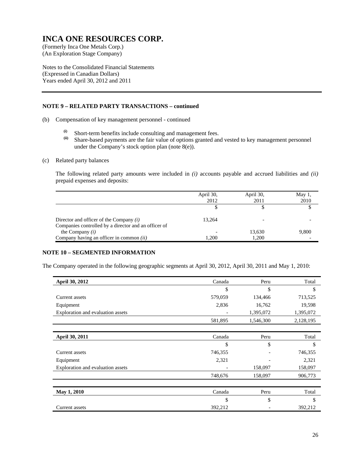(An Exploration Stage Company)

Notes to the Consolidated Financial Statements (Expressed in Canadian Dollars) Years ended April 30, 2012 and 2011

### **NOTE 9 – RELATED PARTY TRANSACTIONS – continued**

- (b) Compensation of key management personnel continued
	- (i) Short-term benefits include consulting and management fees.<br>
	(ii) Shore besed nowments are the fair value of options granted an
	- Share-based payments are the fair value of options granted and vested to key management personnel under the Company's stock option plan (note  $8(e)$ ).

#### (c) Related party balances

The following related party amounts were included in *(i)* accounts payable and accrued liabilities and *(ii)* prepaid expenses and deposits:

|                                                                                                   | April 30,<br>2012 | April 30,<br>2011 | May 1,<br>2010 |
|---------------------------------------------------------------------------------------------------|-------------------|-------------------|----------------|
|                                                                                                   |                   |                   |                |
| Director and officer of the Company $(i)$<br>Companies controlled by a director and an officer of | 13.264            |                   |                |
| the Company $(i)$                                                                                 |                   | 13,630            | 9,800          |
| Company having an officer in common <i>(ii)</i>                                                   | 1.200             | 1.200             |                |

### **NOTE 10 – SEGMENTED INFORMATION**

The Company operated in the following geographic segments at April 30, 2012, April 30, 2011 and May 1, 2010:

| April 30, 2012                    | Canada                   | Peru      | Total     |
|-----------------------------------|--------------------------|-----------|-----------|
|                                   | \$                       | \$        | \$        |
| Current assets                    | 579,059                  | 134,466   | 713,525   |
| Equipment                         | 2,836                    | 16,762    | 19,598    |
| Exploration and evaluation assets | $\overline{\phantom{a}}$ | 1,395,072 | 1,395,072 |
|                                   | 581,895                  | 1,546,300 | 2,128,195 |
|                                   |                          |           |           |
| April 30, 2011                    | Canada                   | Peru      | Total     |
|                                   | \$                       | \$        | \$        |
| Current assets                    | 746,355                  |           | 746,355   |
| Equipment                         | 2,321                    |           | 2,321     |
| Exploration and evaluation assets |                          | 158,097   | 158,097   |
|                                   | 748,676                  | 158,097   | 906,773   |
|                                   |                          |           |           |
| May 1, 2010                       | Canada                   | Peru      | Total     |
|                                   | \$                       | \$        | \$        |
| Current assets                    | 392,212                  |           | 392,212   |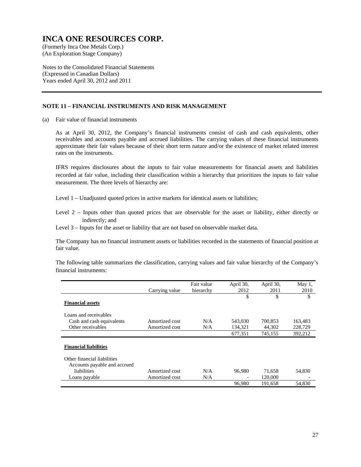(An Exploration Stage Company)

Notes to the Consolidated Financial Statements (Expressed in Canadian Dollars) Years ended April 30, 2012 and 2011

#### **NOTE 11 – FINANCIAL INSTRUMENTS AND RISK MANAGEMENT**

(a) Fair value of financial instruments

As at April 30, 2012, the Company's financial instruments consist of cash and cash equivalents, other receivables and accounts payable and accrued liabilities. The carrying values of these financial instruments approximate their fair values because of their short term nature and/or the existence of market related interest rates on the instruments.

IFRS requires disclosures about the inputs to fair value measurements for financial assets and liabilities recorded at fair value, including their classification within a hierarchy that prioritizes the inputs to fair value measurement. The three levels of hierarchy are:

Level 1 – Unadjusted quoted prices in active markets for identical assets or liabilities;

Level 2 – Inputs other than quoted prices that are observable for the asset or liability, either directly or indirectly; and

Level 3 – Inputs for the asset or liability that are not based on observable market data.

The Company has no financial instrument assets or liabilities recorded in the statements of financial position at fair value.

The following table summarizes the classification, carrying values and fair value hierarchy of the Company's financial instruments:

|                                                             |                | Fair value | April 30, | April 30, | May $1$ , |
|-------------------------------------------------------------|----------------|------------|-----------|-----------|-----------|
|                                                             |                |            |           |           |           |
|                                                             | Carrying value | hierarchy  | 2012      | 2011      | 2010      |
|                                                             |                |            | \$        | \$        | \$        |
| <b>Financial assets</b>                                     |                |            |           |           |           |
| Loans and receivables                                       |                |            |           |           |           |
| Cash and cash equivalents                                   | Amortized cost | N/A        | 543,030   | 700.853   | 163.483   |
| Other receivables                                           | Amortized cost | N/A        | 134,321   | 44,302    | 228,729   |
|                                                             |                |            | 677,351   | 745.155   | 392,212   |
|                                                             |                |            |           |           |           |
| <b>Financial liabilities</b>                                |                |            |           |           |           |
| Other financial liabilities<br>Accounts payable and accrued |                |            |           |           |           |
| liabilities                                                 | Amortized cost | N/A        | 96,980    | 71,658    | 54,830    |
| Loans payable                                               | Amortized cost | N/A        |           | 120,000   |           |
|                                                             |                |            | 96.980    | 191.658   | 54.830    |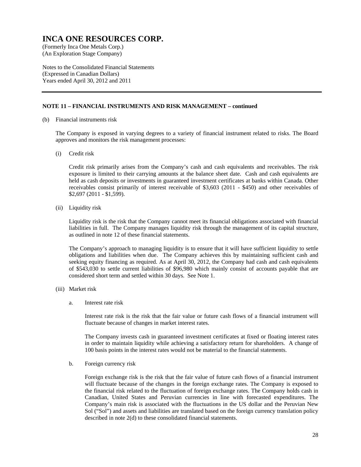(An Exploration Stage Company)

Notes to the Consolidated Financial Statements (Expressed in Canadian Dollars) Years ended April 30, 2012 and 2011

### **NOTE 11 – FINANCIAL INSTRUMENTS AND RISK MANAGEMENT – continued**

(b) Financial instruments risk

The Company is exposed in varying degrees to a variety of financial instrument related to risks. The Board approves and monitors the risk management processes:

(i) Credit risk

Credit risk primarily arises from the Company's cash and cash equivalents and receivables. The risk exposure is limited to their carrying amounts at the balance sheet date. Cash and cash equivalents are held as cash deposits or investments in guaranteed investment certificates at banks within Canada. Other receivables consist primarily of interest receivable of \$3,603 (2011 - \$450) and other receivables of \$2,697 (2011 - \$1,599).

(ii) Liquidity risk

Liquidity risk is the risk that the Company cannot meet its financial obligations associated with financial liabilities in full. The Company manages liquidity risk through the management of its capital structure, as outlined in note 12 of these financial statements.

The Company's approach to managing liquidity is to ensure that it will have sufficient liquidity to settle obligations and liabilities when due. The Company achieves this by maintaining sufficient cash and seeking equity financing as required. As at April 30, 2012, the Company had cash and cash equivalents of \$543,030 to settle current liabilities of \$96,980 which mainly consist of accounts payable that are considered short term and settled within 30 days. See Note 1.

#### (iii) Market risk

a. Interest rate risk

 Interest rate risk is the risk that the fair value or future cash flows of a financial instrument will fluctuate because of changes in market interest rates.

 The Company invests cash in guaranteed investment certificates at fixed or floating interest rates in order to maintain liquidity while achieving a satisfactory return for shareholders. A change of 100 basis points in the interest rates would not be material to the financial statements.

b. Foreign currency risk

Foreign exchange risk is the risk that the fair value of future cash flows of a financial instrument will fluctuate because of the changes in the foreign exchange rates. The Company is exposed to the financial risk related to the fluctuation of foreign exchange rates. The Company holds cash in Canadian, United States and Peruvian currencies in line with forecasted expenditures. The Company's main risk is associated with the fluctuations in the US dollar and the Peruvian New Sol ("Sol") and assets and liabilities are translated based on the foreign currency translation policy described in note 2(d) to these consolidated financial statements.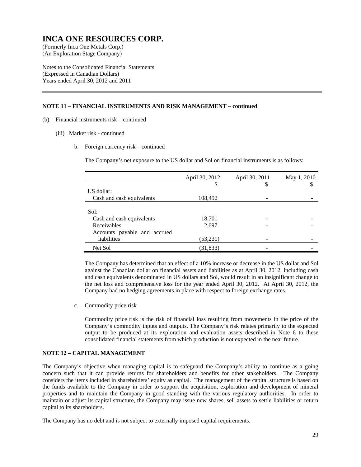(An Exploration Stage Company)

Notes to the Consolidated Financial Statements (Expressed in Canadian Dollars) Years ended April 30, 2012 and 2011

### **NOTE 11 – FINANCIAL INSTRUMENTS AND RISK MANAGEMENT – continued**

- (b) Financial instruments risk continued
	- (iii) Market risk continued
		- b. Foreign currency risk continued

The Company's net exposure to the US dollar and Sol on financial instruments is as follows:

|                              | April 30, 2012 | April 30, 2011 | May 1, 2010 |
|------------------------------|----------------|----------------|-------------|
|                              | S              | \$             |             |
| US dollar:                   |                |                |             |
| Cash and cash equivalents    | 108,492        |                |             |
|                              |                |                |             |
| Sol:                         |                |                |             |
| Cash and cash equivalents    | 18,701         |                |             |
| Receivables                  | 2,697          |                |             |
| Accounts payable and accrued |                |                |             |
| liabilities                  | (53,231)       |                |             |
| Net Sol                      | (31, 833)      |                |             |

The Company has determined that an effect of a 10% increase or decrease in the US dollar and Sol against the Canadian dollar on financial assets and liabilities as at April 30, 2012, including cash and cash equivalents denominated in US dollars and Sol, would result in an insignificant change to the net loss and comprehensive loss for the year ended April 30, 2012. At April 30, 2012, the Company had no hedging agreements in place with respect to foreign exchange rates.

c. Commodity price risk

Commodity price risk is the risk of financial loss resulting from movements in the price of the Company's commodity inputs and outputs. The Company's risk relates primarily to the expected output to be produced at its exploration and evaluation assets described in Note 6 to these consolidated financial statements from which production is not expected in the near future.

### **NOTE 12 – CAPITAL MANAGEMENT**

The Company's objective when managing capital is to safeguard the Company's ability to continue as a going concern such that it can provide returns for shareholders and benefits for other stakeholders. The Company considers the items included in shareholders' equity as capital. The management of the capital structure is based on the funds available to the Company in order to support the acquisition, exploration and development of mineral properties and to maintain the Company in good standing with the various regulatory authorities. In order to maintain or adjust its capital structure, the Company may issue new shares, sell assets to settle liabilities or return capital to its shareholders.

The Company has no debt and is not subject to externally imposed capital requirements.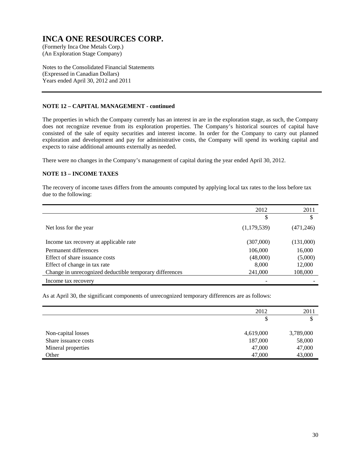(An Exploration Stage Company)

Notes to the Consolidated Financial Statements (Expressed in Canadian Dollars) Years ended April 30, 2012 and 2011

### **NOTE 12 – CAPITAL MANAGEMENT - continued**

The properties in which the Company currently has an interest in are in the exploration stage, as such, the Company does not recognize revenue from its exploration properties. The Company's historical sources of capital have consisted of the sale of equity securities and interest income. In order for the Company to carry out planned exploration and development and pay for administrative costs, the Company will spend its working capital and expects to raise additional amounts externally as needed.

There were no changes in the Company's management of capital during the year ended April 30, 2012.

### **NOTE 13 – INCOME TAXES**

The recovery of income taxes differs from the amounts computed by applying local tax rates to the loss before tax due to the following:

|                                                         | 2012        | 2011      |
|---------------------------------------------------------|-------------|-----------|
|                                                         | \$          | \$        |
| Net loss for the year                                   | (1,179,539) | (471,246) |
| Income tax recovery at applicable rate                  | (307,000)   | (131,000) |
| Permanent differences                                   | 106,000     | 16,000    |
| Effect of share issuance costs                          | (48,000)    | (5,000)   |
| Effect of change in tax rate                            | 8,000       | 12,000    |
| Change in unrecognized deductible temporary differences | 241,000     | 108,000   |
| Income tax recovery                                     |             |           |

As at April 30, the significant components of unrecognized temporary differences are as follows:

|                      | 2012      | 2011      |
|----------------------|-----------|-----------|
|                      | S         |           |
|                      |           |           |
| Non-capital losses   | 4,619,000 | 3,789,000 |
| Share issuance costs | 187,000   | 58,000    |
| Mineral properties   | 47,000    | 47,000    |
| Other                | 47,000    | 43,000    |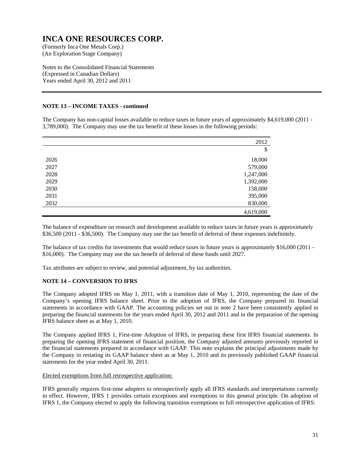(An Exploration Stage Company)

Notes to the Consolidated Financial Statements (Expressed in Canadian Dollars) Years ended April 30, 2012 and 2011

### **NOTE 13 – INCOME TAXES - continued**

The Company has non-capital losses available to reduce taxes in future years of approximately \$4,619,000 (2011 - 3,789,000). The Company may use the tax benefit of these losses in the following periods:

|      | 2012      |
|------|-----------|
|      | \$        |
| 2026 | 18,000    |
| 2027 | 579,000   |
| 2028 | 1,247,000 |
| 2029 | 1,392,000 |
| 2030 | 158,000   |
| 2031 | 395,000   |
| 2032 | 830,000   |
|      | 4,619,000 |

The balance of expenditure on research and development available to reduce taxes in future years is approximately \$36,500 (2011 - \$36,500). The Company may use the tax benefit of deferral of these expenses indefinitely.

The balance of tax credits for investments that would reduce taxes in future years is approximately \$16,000 (2011 - \$16,000). The Company may use the tax benefit of deferral of these funds until 2027.

Tax attributes are subject to review, and potential adjustment, by tax authorities.

### **NOTE 14 – CONVERSION TO IFRS**

The Company adopted IFRS on May 1, 2011, with a transition date of May 1, 2010, representing the date of the Company's opening IFRS balance sheet. Prior to the adoption of IFRS, the Company prepared its financial statements in accordance with GAAP. The accounting policies set out in note 2 have been consistently applied in preparing the financial statements for the years ended April 30, 2012 and 2011 and in the preparation of the opening IFRS balance sheet as at May 1, 2010.

The Company applied IFRS 1, First-time Adoption of IFRS, in preparing these first IFRS financial statements. In preparing the opening IFRS statement of financial position, the Company adjusted amounts previously reported in the financial statements prepared in accordance with GAAP. This note explains the principal adjustments made by the Company in restating its GAAP balance sheet as at May 1, 2010 and its previously published GAAP financial statements for the year ended April 30, 2011.

#### Elected exemptions from full retrospective application:

IFRS generally requires first-time adopters to retrospectively apply all IFRS standards and interpretations currently in effect. However, IFRS 1 provides certain exceptions and exemptions to this general principle. On adoption of IFRS 1, the Company elected to apply the following transition exemptions to full retrospective application of IFRS: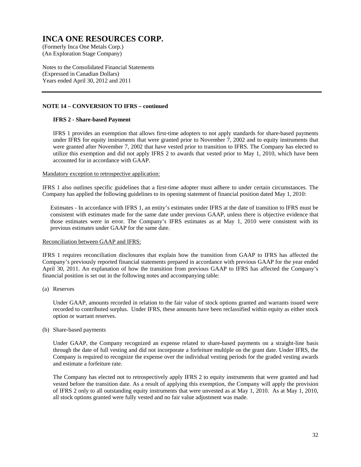(An Exploration Stage Company)

Notes to the Consolidated Financial Statements (Expressed in Canadian Dollars) Years ended April 30, 2012 and 2011

#### **NOTE 14 – CONVERSION TO IFRS – continued**

### **IFRS 2 - Share-based Payment**

IFRS 1 provides an exemption that allows first-time adopters to not apply standards for share-based payments under IFRS for equity instruments that were granted prior to November 7, 2002 and to equity instruments that were granted after November 7, 2002 that have vested prior to transition to IFRS. The Company has elected to utilize this exemption and did not apply IFRS 2 to awards that vested prior to May 1, 2010, which have been accounted for in accordance with GAAP.

#### Mandatory exception to retrospective application:

IFRS 1 also outlines specific guidelines that a first-time adopter must adhere to under certain circumstances. The Company has applied the following guidelines to its opening statement of financial position dated May 1, 2010:

Estimates - In accordance with IFRS 1, an entity's estimates under IFRS at the date of transition to IFRS must be consistent with estimates made for the same date under previous GAAP, unless there is objective evidence that those estimates were in error. The Company's IFRS estimates as at May 1, 2010 were consistent with its previous estimates under GAAP for the same date.

### Reconciliation between GAAP and IFRS:

IFRS 1 requires reconciliation disclosures that explain how the transition from GAAP to IFRS has affected the Company's previously reported financial statements prepared in accordance with previous GAAP for the year ended April 30, 2011. An explanation of how the transition from previous GAAP to IFRS has affected the Company's financial position is set out in the following notes and accompanying table:

(a) Reserves

Under GAAP, amounts recorded in relation to the fair value of stock options granted and warrants issued were recorded to contributed surplus. Under IFRS, these amounts have been reclassified within equity as either stock option or warrant reserves.

(b) Share-based payments

Under GAAP, the Company recognized an expense related to share-based payments on a straight-line basis through the date of full vesting and did not incorporate a forfeiture multiple on the grant date. Under IFRS, the Company is required to recognize the expense over the individual vesting periods for the graded vesting awards and estimate a forfeiture rate.

The Company has elected not to retrospectively apply IFRS 2 to equity instruments that were granted and had vested before the transition date. As a result of applying this exemption, the Company will apply the provision of IFRS 2 only to all outstanding equity instruments that were unvested as at May 1, 2010. As at May 1, 2010, all stock options granted were fully vested and no fair value adjustment was made.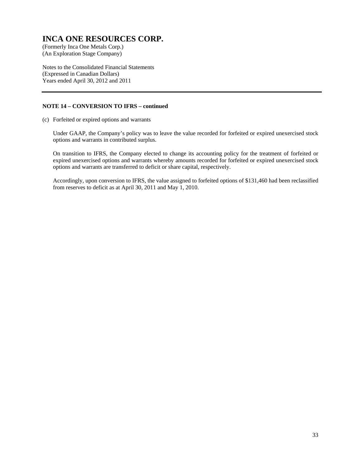(An Exploration Stage Company)

Notes to the Consolidated Financial Statements (Expressed in Canadian Dollars) Years ended April 30, 2012 and 2011

### **NOTE 14 – CONVERSION TO IFRS – continued**

(c) Forfeited or expired options and warrants

Under GAAP, the Company's policy was to leave the value recorded for forfeited or expired unexercised stock options and warrants in contributed surplus.

On transition to IFRS, the Company elected to change its accounting policy for the treatment of forfeited or expired unexercised options and warrants whereby amounts recorded for forfeited or expired unexercised stock options and warrants are transferred to deficit or share capital, respectively.

Accordingly, upon conversion to IFRS, the value assigned to forfeited options of \$131,460 had been reclassified from reserves to deficit as at April 30, 2011 and May 1, 2010.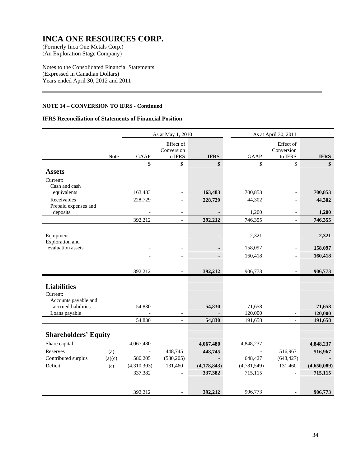(An Exploration Stage Company)

Notes to the Consolidated Financial Statements (Expressed in Canadian Dollars) Years ended April 30, 2012 and 2011

### **NOTE 14 – CONVERSION TO IFRS - Continued**

### **IFRS Reconciliation of Statements of Financial Position**

|                             |        | As at May 1, 2010        |                                    | As at April 30, 2011 |             |                                    |             |
|-----------------------------|--------|--------------------------|------------------------------------|----------------------|-------------|------------------------------------|-------------|
|                             | Note   | <b>GAAP</b>              | Effect of<br>Conversion<br>to IFRS | <b>IFRS</b>          | <b>GAAP</b> | Effect of<br>Conversion<br>to IFRS | <b>IFRS</b> |
|                             |        | \$                       | \$                                 | \$                   | \$          | \$                                 | \$          |
| <b>Assets</b>               |        |                          |                                    |                      |             |                                    |             |
| Current:                    |        |                          |                                    |                      |             |                                    |             |
| Cash and cash               |        |                          |                                    |                      |             |                                    |             |
| equivalents                 |        | 163,483                  |                                    | 163,483              | 700,853     |                                    | 700,853     |
| Receivables                 |        | 228,729                  |                                    | 228,729              | 44,302      |                                    | 44,302      |
| Prepaid expenses and        |        |                          |                                    |                      |             |                                    |             |
| deposits                    |        | $\overline{\phantom{a}}$ | $\overline{\phantom{a}}$           |                      | 1,200       | $\overline{\phantom{a}}$           | 1,200       |
|                             |        | 392,212                  | $\blacksquare$                     | 392,212              | 746,355     | $\overline{\phantom{a}}$           | 746,355     |
|                             |        |                          |                                    |                      |             |                                    |             |
| Equipment                   |        |                          |                                    |                      | 2,321       |                                    | 2,321       |
| Exploration and             |        |                          |                                    |                      |             |                                    |             |
| evaluation assets           |        |                          |                                    |                      | 158,097     | $\overline{\phantom{a}}$           | 158,097     |
|                             |        | $\overline{\phantom{a}}$ | $\blacksquare$                     | $\blacksquare$       | 160,418     | $\blacksquare$                     | 160,418     |
|                             |        |                          |                                    |                      |             |                                    |             |
|                             |        | 392,212                  |                                    | 392,212              | 906,773     |                                    | 906,773     |
|                             |        |                          |                                    |                      |             |                                    |             |
| <b>Liabilities</b>          |        |                          |                                    |                      |             |                                    |             |
| Current:                    |        |                          |                                    |                      |             |                                    |             |
| Accounts payable and        |        |                          |                                    |                      |             |                                    |             |
| accrued liabilities         |        | 54,830                   |                                    | 54,830               | 71,658      | $\overline{\phantom{a}}$           | 71,658      |
| Loans payable               |        | $\overline{a}$           |                                    |                      | 120,000     | $\blacksquare$                     | 120,000     |
|                             |        | 54,830                   | $\mathbb{L}$                       | 54,830               | 191,658     | $\mathbb{L}^{\mathbb{N}}$          | 191,658     |
|                             |        |                          |                                    |                      |             |                                    |             |
| <b>Shareholders' Equity</b> |        |                          |                                    |                      |             |                                    |             |
| Share capital               |        | 4,067,480                | $\overline{\phantom{a}}$           | 4,067,480            | 4,848,237   |                                    | 4,848,237   |
| Reserves                    | (a)    | $\overline{\phantom{a}}$ | 448,745                            | 448,745              |             | 516,967                            | 516,967     |
| Contributed surplus         | (a)(c) | 580,205                  | (580, 205)                         |                      | 648,427     | (648, 427)                         |             |
| Deficit                     | (c)    | (4,310,303)              | 131,460                            | (4, 178, 843)        | (4,781,549) | 131,460                            | (4,650,089) |
|                             |        | 337,382                  | $\overline{\phantom{a}}$           | 337,382              | 715,115     |                                    | 715,115     |
|                             |        |                          |                                    |                      |             |                                    |             |
|                             |        | 392.212                  |                                    | 392,212              | 906,773     | $\blacksquare$                     | 906,773     |